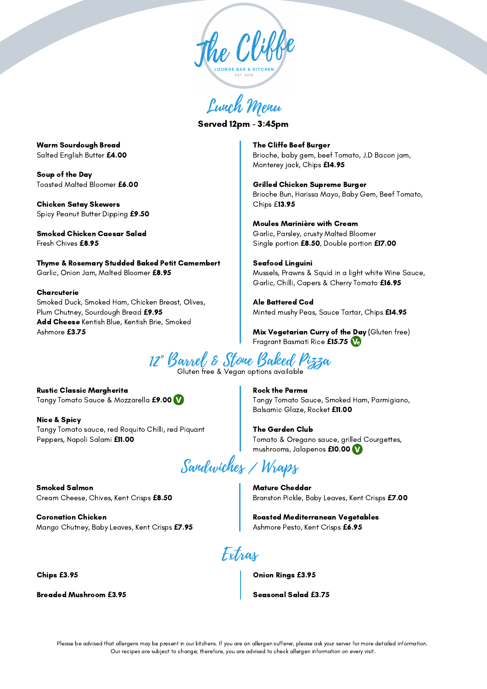

Lunch Menu

Served 12pm - 3:45pm

Warm Sourdough Bread Salted English Butter **£**4.00

Soup of the Day Toasted Malted Bloomer **£**6.00

Chicken Satay Skewers Spicy Peanut Butter Dipping **£**9.50

Smoked Chicken Caesar Salad Fresh Chives **£**8.95

Thyme & Rosemary Studded Baked Petit Camembert Garlic, Onion Jam, Malted Bloomer **£**8.95

**Charcuterie** Smoked Duck, Smoked Ham, Chicken Breast, Olives, Plum Chutney, Sourdough Bread **£**9.95 Add Cheese Kentish Blue, Kentish Brie, Smoked Ashmore **£**3.75

The Cliffe Beef Burger Brioche, baby gem, beef Tomato, J.D Bacon jam, Monterey jack, Chips **£**14.95

Grilled Chicken Supreme Burger Brioche Bun, Harissa Mayo, Baby Gem, Beef Tomato, Chips £13.95

Moules Marinière with Cream Garlic, Parsley, crusty Malted Bloomer Single portion **£**8.50, Double portion **£**17.00

Seafood Linguini Mussels, Prawns & Squid in a light white Wine Sauce, Garlic, Chilli, Capers & Cherry Tomato **£**16.95

Ale Battered Cod Minted mushy Peas, Sauce Tartar, Chips **£**14.95

Mix Vegetarian Curry of the Day (Gluten free) Fragrant Basmati Rice **£**15.75

12" Barrel & Stone Baked Pizza

Gluten free & Vegan options available

Rustic Classic Margherita Tangy Tomato Sauce & Mozzarella **£**9.00

Nice & Spicy Tangy Tomato sauce, red Roquito Chilli, red Piquant Peppers, Napoli Salami **£**11.00

Sandwiches / Wraps

Smoked Salmon Cream Cheese, Chives, Kent Crisps **£**8.50

Coronation Chicken Mango Chutney, Baby Leaves, Kent Crisps **£**7.95

Chips **£**3.95

Breaded Mushroom **£**3.95

Rock the Parma Tangy Tomato Sauce, Smoked Ham, Parmigiano, Balsamic Glaze, Rocket **£**11.00

The Garden Club Tomato & Oregano sauce, grilled Courgettes, mushrooms, Jalapenos **£**10.00

Mature Cheddar Branston Pickle, Baby Leaves, Kent Crisps **£**7.00

Roasted Mediterranean Vegetables Ashmore Pesto, Kent Crisps **£**6.95

Extras

Onion Rings **£**3.95

Seasonal Salad **£**3.75